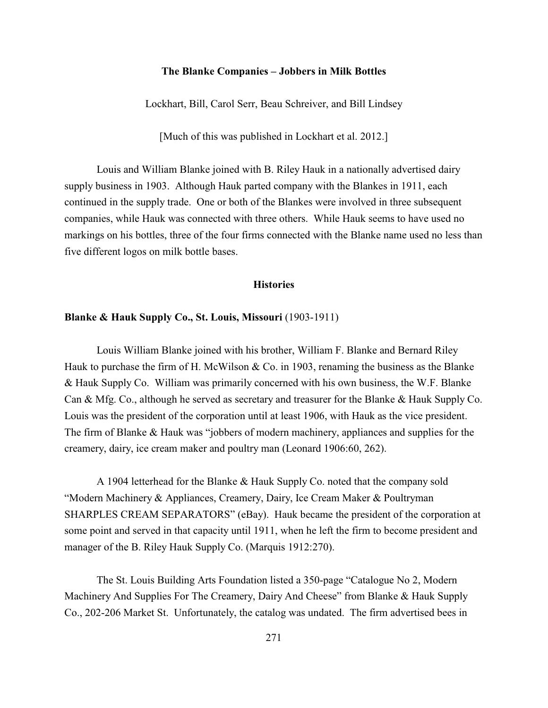# **The Blanke Companies – Jobbers in Milk Bottles**

Lockhart, Bill, Carol Serr, Beau Schreiver, and Bill Lindsey

[Much of this was published in Lockhart et al. 2012.]

Louis and William Blanke joined with B. Riley Hauk in a nationally advertised dairy supply business in 1903. Although Hauk parted company with the Blankes in 1911, each continued in the supply trade. One or both of the Blankes were involved in three subsequent companies, while Hauk was connected with three others. While Hauk seems to have used no markings on his bottles, three of the four firms connected with the Blanke name used no less than five different logos on milk bottle bases.

#### **Histories**

#### **Blanke & Hauk Supply Co., St. Louis, Missouri** (1903-1911)

Louis William Blanke joined with his brother, William F. Blanke and Bernard Riley Hauk to purchase the firm of H. McWilson  $& Co.$  in 1903, renaming the business as the Blanke & Hauk Supply Co. William was primarily concerned with his own business, the W.F. Blanke Can & Mfg. Co., although he served as secretary and treasurer for the Blanke & Hauk Supply Co. Louis was the president of the corporation until at least 1906, with Hauk as the vice president. The firm of Blanke & Hauk was "jobbers of modern machinery, appliances and supplies for the creamery, dairy, ice cream maker and poultry man (Leonard 1906:60, 262).

A 1904 letterhead for the Blanke & Hauk Supply Co. noted that the company sold "Modern Machinery & Appliances, Creamery, Dairy, Ice Cream Maker & Poultryman SHARPLES CREAM SEPARATORS" (eBay). Hauk became the president of the corporation at some point and served in that capacity until 1911, when he left the firm to become president and manager of the B. Riley Hauk Supply Co. (Marquis 1912:270).

The St. Louis Building Arts Foundation listed a 350-page "Catalogue No 2, Modern Machinery And Supplies For The Creamery, Dairy And Cheese" from Blanke & Hauk Supply Co., 202-206 Market St. Unfortunately, the catalog was undated. The firm advertised bees in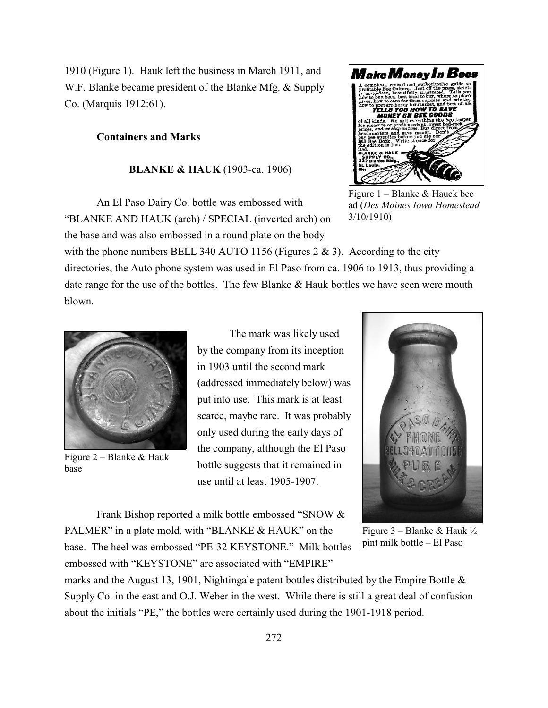1910 (Figure 1). Hauk left the business in March 1911, and W.F. Blanke became president of the Blanke Mfg. & Supply Co. (Marquis 1912:61).

#### **Containers and Marks**

#### **BLANKE & HAUK** (1903-ca. 1906)

An El Paso Dairy Co. bottle was embossed with "BLANKE AND HAUK (arch) / SPECIAL (inverted arch) on the base and was also embossed in a round plate on the body



Figure 1 – Blanke & Hauck bee ad (*Des Moines Iowa Homestead* 3/10/1910)

with the phone numbers BELL 340 AUTO 1156 (Figures 2 & 3). According to the city directories, the Auto phone system was used in El Paso from ca. 1906 to 1913, thus providing a date range for the use of the bottles. The few Blanke & Hauk bottles we have seen were mouth blown.



Figure 2 – Blanke & Hauk base

The mark was likely used by the company from its inception in 1903 until the second mark (addressed immediately below) was put into use. This mark is at least scarce, maybe rare. It was probably only used during the early days of the company, although the El Paso bottle suggests that it remained in use until at least 1905-1907.



Figure  $3$  – Blanke & Hauk  $\frac{1}{2}$ pint milk bottle – El Paso

marks and the August 13, 1901, Nightingale patent bottles distributed by the Empire Bottle & Supply Co. in the east and O.J. Weber in the west. While there is still a great deal of confusion about the initials "PE," the bottles were certainly used during the 1901-1918 period.

Frank Bishop reported a milk bottle embossed "SNOW &

PALMER" in a plate mold, with "BLANKE & HAUK" on the base. The heel was embossed "PE-32 KEYSTONE." Milk bottles

embossed with "KEYSTONE" are associated with "EMPIRE"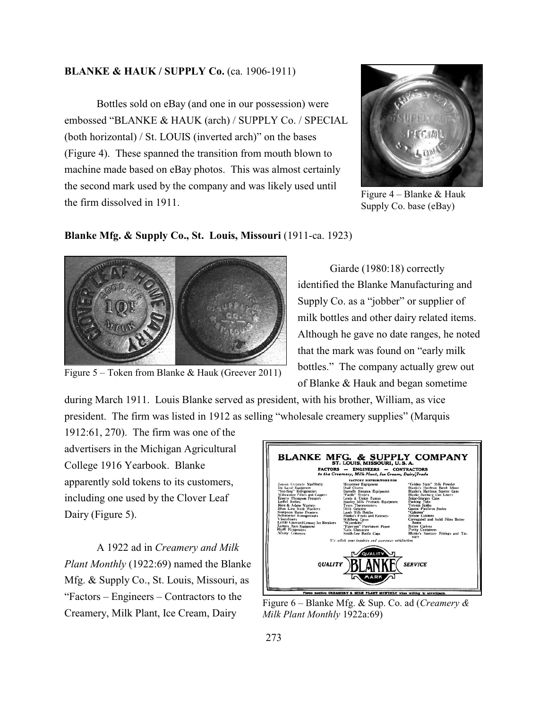# **BLANKE & HAUK / SUPPLY Co.** (ca. 1906-1911)

Bottles sold on eBay (and one in our possession) were embossed "BLANKE & HAUK (arch) / SUPPLY Co. / SPECIAL (both horizontal) / St. LOUIS (inverted arch)" on the bases (Figure 4). These spanned the transition from mouth blown to machine made based on eBay photos. This was almost certainly the second mark used by the company and was likely used until the firm dissolved in 1911.



Figure  $4$  – Blanke & Hauk Supply Co. base (eBay)

#### **Blanke Mfg. & Supply Co., St. Louis, Missouri** (1911-ca. 1923)



Figure 5 – Token from Blanke & Hauk (Greever 2011)

Giarde (1980:18) correctly identified the Blanke Manufacturing and Supply Co. as a "jobber" or supplier of milk bottles and other dairy related items. Although he gave no date ranges, he noted that the mark was found on "early milk bottles." The company actually grew out of Blanke & Hauk and began sometime

during March 1911. Louis Blanke served as president, with his brother, William, as vice president. The firm was listed in 1912 as selling "wholesale creamery supplies" (Marquis

1912:61, 270). The firm was one of the advertisers in the Michigan Agricultural College 1916 Yearbook. Blanke apparently sold tokens to its customers, including one used by the Clover Leaf Dairy (Figure 5).

A 1922 ad in *Creamery and Milk Plant Monthly* (1922:69) named the Blanke Mfg. & Supply Co., St. Louis, Missouri, as "Factors – Engineers – Contractors to the Creamery, Milk Plant, Ice Cream, Dairy



Figure 6 – Blanke Mfg. & Sup. Co. ad (*Creamery & Milk Plant Monthly* 1922a:69)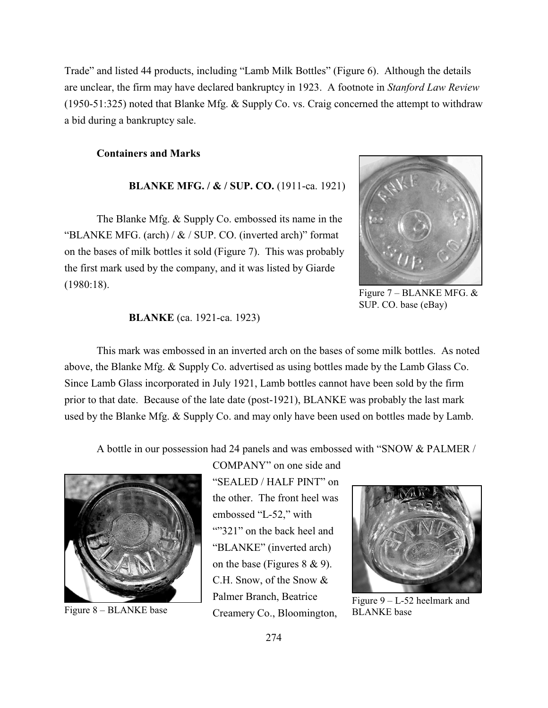Trade" and listed 44 products, including "Lamb Milk Bottles" (Figure 6). Although the details are unclear, the firm may have declared bankruptcy in 1923. A footnote in *Stanford Law Review* (1950-51:325) noted that Blanke Mfg. & Supply Co. vs. Craig concerned the attempt to withdraw a bid during a bankruptcy sale.

#### **Containers and Marks**

# **BLANKE MFG. / & / SUP. CO.** (1911-ca. 1921)

The Blanke Mfg. & Supply Co. embossed its name in the "BLANKE MFG. (arch) /  $\&$  / SUP. CO. (inverted arch)" format on the bases of milk bottles it sold (Figure 7). This was probably the first mark used by the company, and it was listed by Giarde (1980:18).



Figure 7 – BLANKE MFG. & SUP. CO. base (eBay)

#### **BLANKE** (ca. 1921-ca. 1923)

This mark was embossed in an inverted arch on the bases of some milk bottles. As noted above, the Blanke Mfg. & Supply Co. advertised as using bottles made by the Lamb Glass Co. Since Lamb Glass incorporated in July 1921, Lamb bottles cannot have been sold by the firm prior to that date. Because of the late date (post-1921), BLANKE was probably the last mark used by the Blanke Mfg. & Supply Co. and may only have been used on bottles made by Lamb.

A bottle in our possession had 24 panels and was embossed with "SNOW & PALMER /



Figure 8 – BLANKE base

COMPANY" on one side and "SEALED / HALF PINT" on the other. The front heel was embossed "L-52," with ""321" on the back heel and "BLANKE" (inverted arch) on the base (Figures 8 & 9). C.H. Snow, of the Snow & Palmer Branch, Beatrice Creamery Co., Bloomington,



Figure 9 – L-52 heelmark and BLANKE base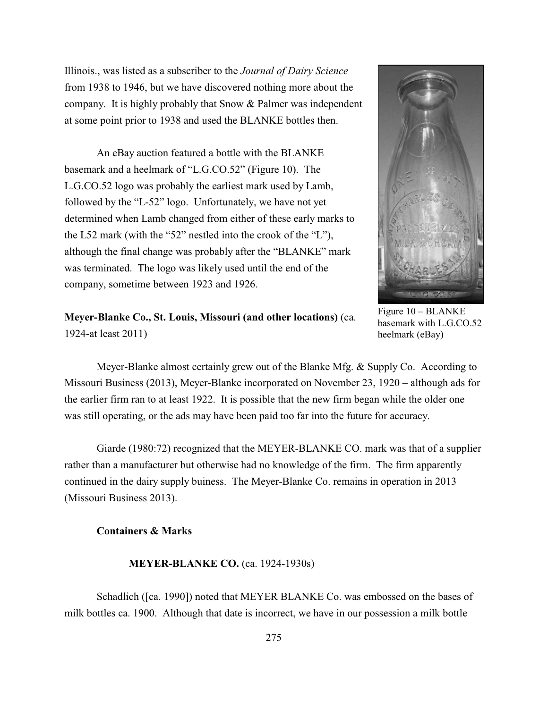Illinois., was listed as a subscriber to the *Journal of Dairy Science* from 1938 to 1946, but we have discovered nothing more about the company. It is highly probably that Snow & Palmer was independent at some point prior to 1938 and used the BLANKE bottles then.

An eBay auction featured a bottle with the BLANKE basemark and a heelmark of "L.G.CO.52" (Figure 10). The L.G.CO.52 logo was probably the earliest mark used by Lamb, followed by the "L-52" logo. Unfortunately, we have not yet determined when Lamb changed from either of these early marks to the L52 mark (with the "52" nestled into the crook of the "L"), although the final change was probably after the "BLANKE" mark was terminated. The logo was likely used until the end of the company, sometime between 1923 and 1926.



Figure 10 – BLANKE basemark with L.G.CO.52 heelmark (eBay)

**Meyer-Blanke Co., St. Louis, Missouri (and other locations)** (ca. 1924-at least 2011)

Meyer-Blanke almost certainly grew out of the Blanke Mfg. & Supply Co. According to Missouri Business (2013), Meyer-Blanke incorporated on November 23, 1920 – although ads for the earlier firm ran to at least 1922. It is possible that the new firm began while the older one was still operating, or the ads may have been paid too far into the future for accuracy.

Giarde (1980:72) recognized that the MEYER-BLANKE CO. mark was that of a supplier rather than a manufacturer but otherwise had no knowledge of the firm. The firm apparently continued in the dairy supply buiness. The Meyer-Blanke Co. remains in operation in 2013 (Missouri Business 2013).

# **Containers & Marks**

**MEYER-BLANKE CO.** (ca. 1924-1930s)

Schadlich ([ca. 1990]) noted that MEYER BLANKE Co. was embossed on the bases of milk bottles ca. 1900. Although that date is incorrect, we have in our possession a milk bottle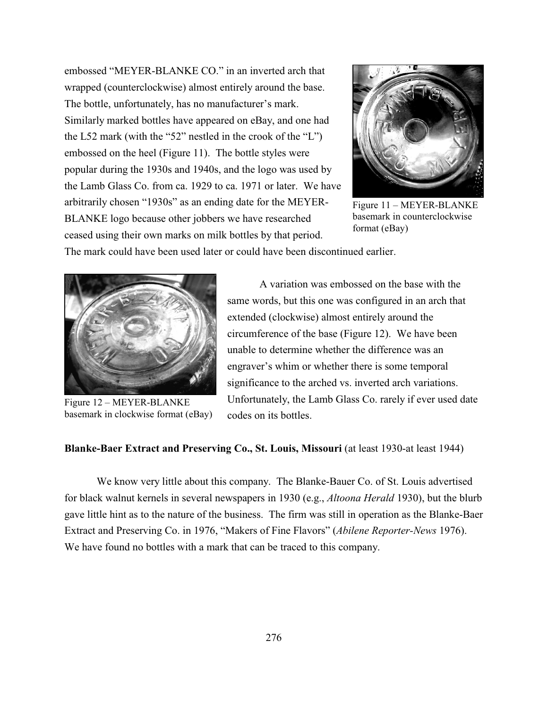embossed "MEYER-BLANKE CO." in an inverted arch that wrapped (counterclockwise) almost entirely around the base. The bottle, unfortunately, has no manufacturer's mark. Similarly marked bottles have appeared on eBay, and one had the L52 mark (with the "52" nestled in the crook of the "L") embossed on the heel (Figure 11). The bottle styles were popular during the 1930s and 1940s, and the logo was used by the Lamb Glass Co. from ca. 1929 to ca. 1971 or later. We have arbitrarily chosen "1930s" as an ending date for the MEYER-BLANKE logo because other jobbers we have researched ceased using their own marks on milk bottles by that period.



Figure 11 – MEYER-BLANKE basemark in counterclockwise format (eBay)

The mark could have been used later or could have been discontinued earlier.



Figure 12 – MEYER-BLANKE basemark in clockwise format (eBay)

A variation was embossed on the base with the same words, but this one was configured in an arch that extended (clockwise) almost entirely around the circumference of the base (Figure 12). We have been unable to determine whether the difference was an engraver's whim or whether there is some temporal significance to the arched vs. inverted arch variations. Unfortunately, the Lamb Glass Co. rarely if ever used date codes on its bottles.

# **Blanke-Baer Extract and Preserving Co., St. Louis, Missouri** (at least 1930-at least 1944)

We know very little about this company. The Blanke-Bauer Co. of St. Louis advertised for black walnut kernels in several newspapers in 1930 (e.g., *Altoona Herald* 1930), but the blurb gave little hint as to the nature of the business. The firm was still in operation as the Blanke-Baer Extract and Preserving Co. in 1976, "Makers of Fine Flavors" (*Abilene Reporter-News* 1976). We have found no bottles with a mark that can be traced to this company.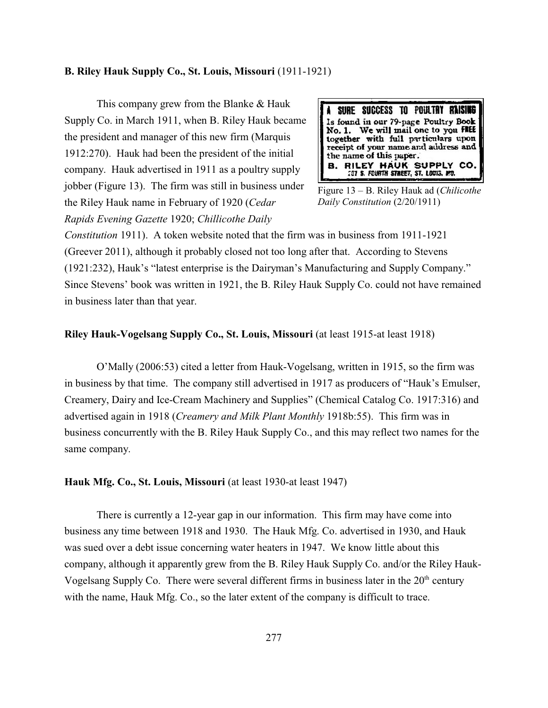#### **B. Riley Hauk Supply Co., St. Louis, Missouri** (1911-1921)

This company grew from the Blanke & Hauk Supply Co. in March 1911, when B. Riley Hauk became the president and manager of this new firm (Marquis 1912:270). Hauk had been the president of the initial company. Hauk advertised in 1911 as a poultry supply jobber (Figure 13). The firm was still in business under the Riley Hauk name in February of 1920 (*Cedar Rapids Evening Gazette* 1920; *Chillicothe Daily*



Figure 13 – B. Riley Hauk ad (*Chilicothe Daily Constitution* (2/20/1911)

*Constitution* 1911). A token website noted that the firm was in business from 1911-1921 (Greever 2011), although it probably closed not too long after that. According to Stevens (1921:232), Hauk's "latest enterprise is the Dairyman's Manufacturing and Supply Company." Since Stevens' book was written in 1921, the B. Riley Hauk Supply Co. could not have remained in business later than that year.

#### **Riley Hauk-Vogelsang Supply Co., St. Louis, Missouri** (at least 1915-at least 1918)

O'Mally (2006:53) cited a letter from Hauk-Vogelsang, written in 1915, so the firm was in business by that time. The company still advertised in 1917 as producers of "Hauk's Emulser, Creamery, Dairy and Ice-Cream Machinery and Supplies" (Chemical Catalog Co. 1917:316) and advertised again in 1918 (*Creamery and Milk Plant Monthly* 1918b:55). This firm was in business concurrently with the B. Riley Hauk Supply Co., and this may reflect two names for the same company.

**Hauk Mfg. Co., St. Louis, Missouri** (at least 1930-at least 1947)

There is currently a 12-year gap in our information. This firm may have come into business any time between 1918 and 1930. The Hauk Mfg. Co. advertised in 1930, and Hauk was sued over a debt issue concerning water heaters in 1947. We know little about this company, although it apparently grew from the B. Riley Hauk Supply Co. and/or the Riley Hauk-Vogelsang Supply Co. There were several different firms in business later in the  $20<sup>th</sup>$  century with the name, Hauk Mfg. Co., so the later extent of the company is difficult to trace.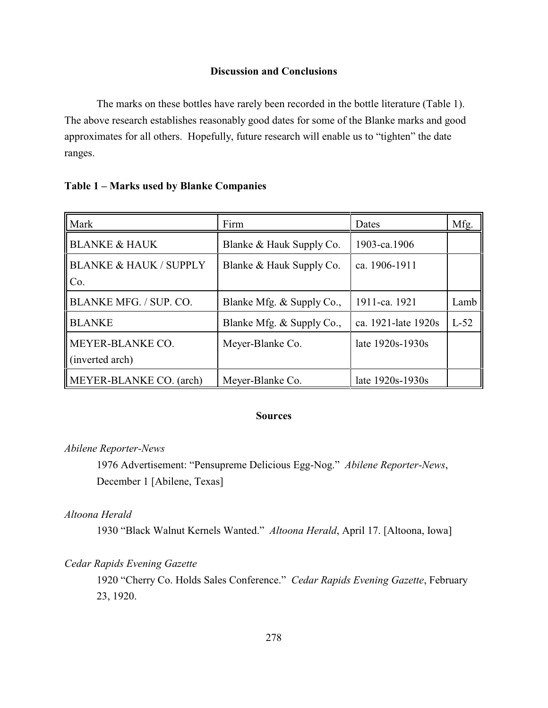# **Discussion and Conclusions**

The marks on these bottles have rarely been recorded in the bottle literature (Table 1). The above research establishes reasonably good dates for some of the Blanke marks and good approximates for all others. Hopefully, future research will enable us to "tighten" the date ranges.

| Mark                                     | Firm                      | Dates               | Mfg.   |
|------------------------------------------|---------------------------|---------------------|--------|
| <b>BLANKE &amp; HAUK</b>                 | Blanke & Hauk Supply Co.  | 1903-ca.1906        |        |
| <b>BLANKE &amp; HAUK / SUPPLY</b><br>Co. | Blanke & Hauk Supply Co.  | ca. 1906-1911       |        |
| BLANKE MFG. / SUP. CO.                   | Blanke Mfg. & Supply Co., | 1911-ca. 1921       | Lamb   |
| <b>BLANKE</b>                            | Blanke Mfg. & Supply Co., | ca. 1921-late 1920s | $L-52$ |
| MEYER-BLANKE CO.<br>(inverted arch)      | Meyer-Blanke Co.          | late 1920s-1930s    |        |
| MEYER-BLANKE CO. (arch)                  | Meyer-Blanke Co.          | late 1920s-1930s    |        |

#### **Table 1 – Marks used by Blanke Companies**

#### **Sources**

#### *Abilene Reporter-News*

1976 Advertisement: "Pensupreme Delicious Egg-Nog." *Abilene Reporter-News*, December 1 [Abilene, Texas]

# *Altoona Herald*

1930 "Black Walnut Kernels Wanted." *Altoona Herald*, April 17. [Altoona, Iowa]

#### *Cedar Rapids Evening Gazette*

1920 "Cherry Co. Holds Sales Conference." *Cedar Rapids Evening Gazette*, February 23, 1920.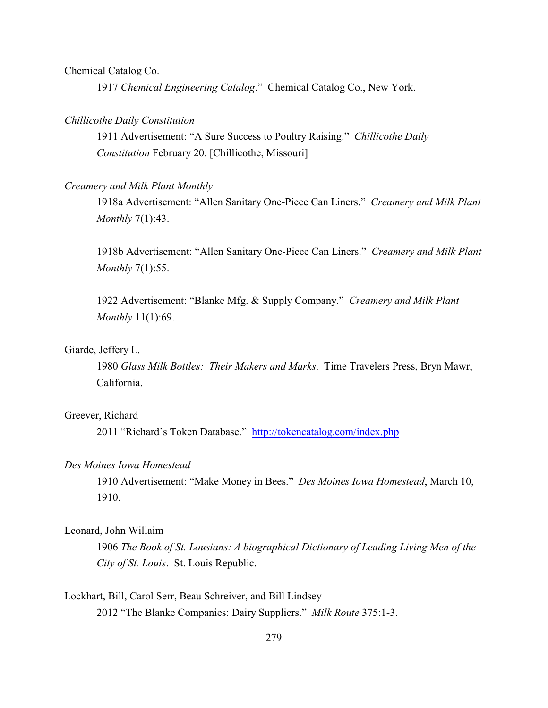Chemical Catalog Co.

1917 *Chemical Engineering Catalog*." Chemical Catalog Co., New York.

#### *Chillicothe Daily Constitution*

1911 Advertisement: "A Sure Success to Poultry Raising." *Chillicothe Daily Constitution* February 20. [Chillicothe, Missouri]

#### *Creamery and Milk Plant Monthly*

1918a Advertisement: "Allen Sanitary One-Piece Can Liners." *Creamery and Milk Plant Monthly* 7(1):43.

1918b Advertisement: "Allen Sanitary One-Piece Can Liners." *Creamery and Milk Plant Monthly* 7(1):55.

1922 Advertisement: "Blanke Mfg. & Supply Company." *Creamery and Milk Plant Monthly* 11(1):69.

#### Giarde, Jeffery L.

1980 *Glass Milk Bottles: Their Makers and Marks*. Time Travelers Press, Bryn Mawr, California.

#### Greever, Richard

2011 "Richard's Token Database." <http://tokencatalog.com/index.php>

#### *Des Moines Iowa Homestead*

1910 Advertisement: "Make Money in Bees." *Des Moines Iowa Homestead*, March 10, 1910.

# Leonard, John Willaim

1906 *The Book of St. Lousians: A biographical Dictionary of Leading Living Men of the City of St. Louis*. St. Louis Republic.

# Lockhart, Bill, Carol Serr, Beau Schreiver, and Bill Lindsey 2012 "The Blanke Companies: Dairy Suppliers." *Milk Route* 375:1-3.